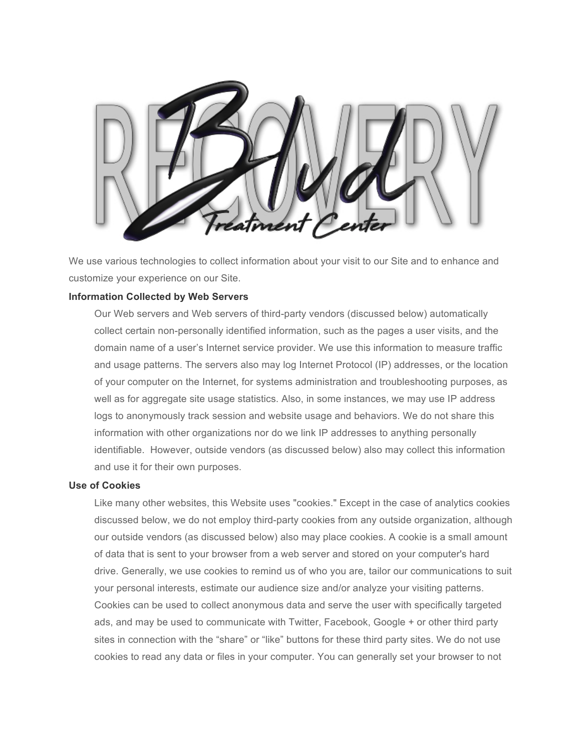

We use various technologies to collect information about your visit to our Site and to enhance and customize your experience on our Site.

### **Information Collected by Web Servers**

Our Web servers and Web servers of third-party vendors (discussed below) automatically collect certain non-personally identified information, such as the pages a user visits, and the domain name of a user's Internet service provider. We use this information to measure traffic and usage patterns. The servers also may log Internet Protocol (IP) addresses, or the location of your computer on the Internet, for systems administration and troubleshooting purposes, as well as for aggregate site usage statistics. Also, in some instances, we may use IP address logs to anonymously track session and website usage and behaviors. We do not share this information with other organizations nor do we link IP addresses to anything personally identifiable. However, outside vendors (as discussed below) also may collect this information and use it for their own purposes.

#### **Use of Cookies**

Like many other websites, this Website uses "cookies." Except in the case of analytics cookies discussed below, we do not employ third-party cookies from any outside organization, although our outside vendors (as discussed below) also may place cookies. A cookie is a small amount of data that is sent to your browser from a web server and stored on your computer's hard drive. Generally, we use cookies to remind us of who you are, tailor our communications to suit your personal interests, estimate our audience size and/or analyze your visiting patterns. Cookies can be used to collect anonymous data and serve the user with specifically targeted ads, and may be used to communicate with Twitter, Facebook, Google + or other third party sites in connection with the "share" or "like" buttons for these third party sites. We do not use cookies to read any data or files in your computer. You can generally set your browser to not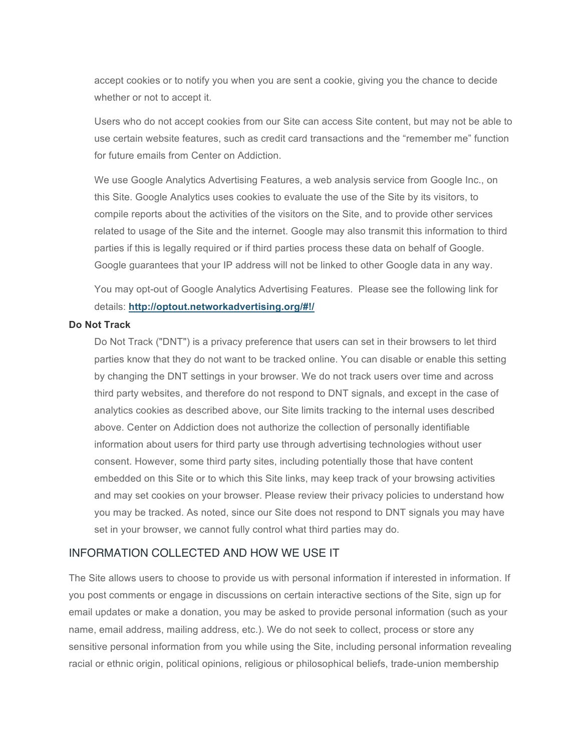accept cookies or to notify you when you are sent a cookie, giving you the chance to decide whether or not to accept it.

Users who do not accept cookies from our Site can access Site content, but may not be able to use certain website features, such as credit card transactions and the "remember me" function for future emails from Center on Addiction.

We use Google Analytics Advertising Features, a web analysis service from Google Inc., on this Site. Google Analytics uses cookies to evaluate the use of the Site by its visitors, to compile reports about the activities of the visitors on the Site, and to provide other services related to usage of the Site and the internet. Google may also transmit this information to third parties if this is legally required or if third parties process these data on behalf of Google. Google guarantees that your IP address will not be linked to other Google data in any way.

You may opt-out of Google Analytics Advertising Features. Please see the following link for details: **http://optout.networkadvertising.org/#!/**

#### **Do Not Track**

Do Not Track ("DNT") is a privacy preference that users can set in their browsers to let third parties know that they do not want to be tracked online. You can disable or enable this setting by changing the DNT settings in your browser. We do not track users over time and across third party websites, and therefore do not respond to DNT signals, and except in the case of analytics cookies as described above, our Site limits tracking to the internal uses described above. Center on Addiction does not authorize the collection of personally identifiable information about users for third party use through advertising technologies without user consent. However, some third party sites, including potentially those that have content embedded on this Site or to which this Site links, may keep track of your browsing activities and may set cookies on your browser. Please review their privacy policies to understand how you may be tracked. As noted, since our Site does not respond to DNT signals you may have set in your browser, we cannot fully control what third parties may do.

### INFORMATION COLLECTED AND HOW WE USE IT

The Site allows users to choose to provide us with personal information if interested in information. If you post comments or engage in discussions on certain interactive sections of the Site, sign up for email updates or make a donation, you may be asked to provide personal information (such as your name, email address, mailing address, etc.). We do not seek to collect, process or store any sensitive personal information from you while using the Site, including personal information revealing racial or ethnic origin, political opinions, religious or philosophical beliefs, trade-union membership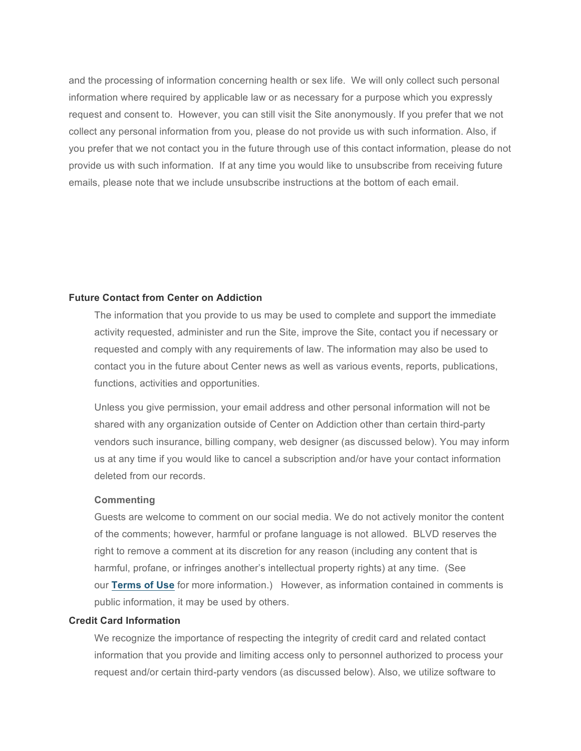and the processing of information concerning health or sex life. We will only collect such personal information where required by applicable law or as necessary for a purpose which you expressly request and consent to. However, you can still visit the Site anonymously. If you prefer that we not collect any personal information from you, please do not provide us with such information. Also, if you prefer that we not contact you in the future through use of this contact information, please do not provide us with such information. If at any time you would like to unsubscribe from receiving future emails, please note that we include unsubscribe instructions at the bottom of each email.

#### **Future Contact from Center on Addiction**

The information that you provide to us may be used to complete and support the immediate activity requested, administer and run the Site, improve the Site, contact you if necessary or requested and comply with any requirements of law. The information may also be used to contact you in the future about Center news as well as various events, reports, publications, functions, activities and opportunities.

Unless you give permission, your email address and other personal information will not be shared with any organization outside of Center on Addiction other than certain third-party vendors such insurance, billing company, web designer (as discussed below). You may inform us at any time if you would like to cancel a subscription and/or have your contact information deleted from our records.

### **Commenting**

Guests are welcome to comment on our social media. We do not actively monitor the content of the comments; however, harmful or profane language is not allowed. BLVD reserves the right to remove a comment at its discretion for any reason (including any content that is harmful, profane, or infringes another's intellectual property rights) at any time. (See our **Terms of Use** for more information.) However, as information contained in comments is public information, it may be used by others.

### **Credit Card Information**

We recognize the importance of respecting the integrity of credit card and related contact information that you provide and limiting access only to personnel authorized to process your request and/or certain third-party vendors (as discussed below). Also, we utilize software to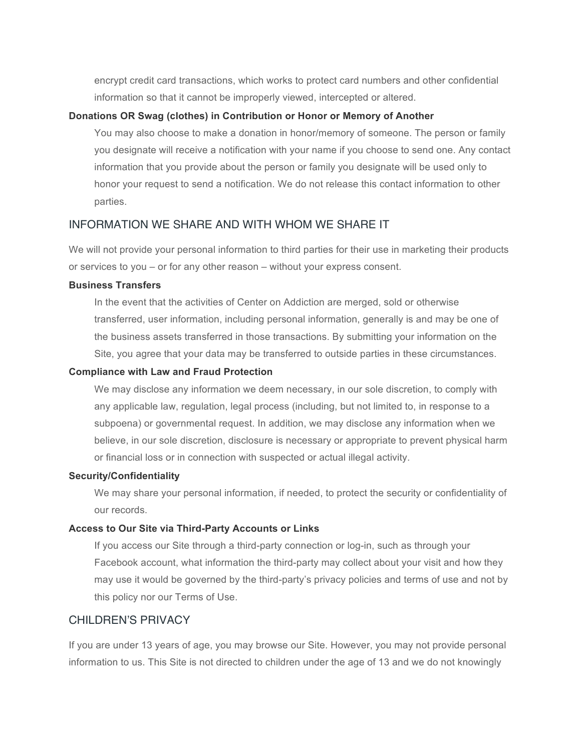encrypt credit card transactions, which works to protect card numbers and other confidential information so that it cannot be improperly viewed, intercepted or altered.

### **Donations OR Swag (clothes) in Contribution or Honor or Memory of Another**

You may also choose to make a donation in honor/memory of someone. The person or family you designate will receive a notification with your name if you choose to send one. Any contact information that you provide about the person or family you designate will be used only to honor your request to send a notification. We do not release this contact information to other parties.

### INFORMATION WE SHARE AND WITH WHOM WE SHARE IT

We will not provide your personal information to third parties for their use in marketing their products or services to you – or for any other reason – without your express consent.

### **Business Transfers**

In the event that the activities of Center on Addiction are merged, sold or otherwise transferred, user information, including personal information, generally is and may be one of the business assets transferred in those transactions. By submitting your information on the Site, you agree that your data may be transferred to outside parties in these circumstances.

#### **Compliance with Law and Fraud Protection**

We may disclose any information we deem necessary, in our sole discretion, to comply with any applicable law, regulation, legal process (including, but not limited to, in response to a subpoena) or governmental request. In addition, we may disclose any information when we believe, in our sole discretion, disclosure is necessary or appropriate to prevent physical harm or financial loss or in connection with suspected or actual illegal activity.

#### **Security/Confidentiality**

We may share your personal information, if needed, to protect the security or confidentiality of our records.

### **Access to Our Site via Third-Party Accounts or Links**

If you access our Site through a third-party connection or log-in, such as through your Facebook account, what information the third-party may collect about your visit and how they may use it would be governed by the third-party's privacy policies and terms of use and not by this policy nor our Terms of Use.

### CHILDREN'S PRIVACY

If you are under 13 years of age, you may browse our Site. However, you may not provide personal information to us. This Site is not directed to children under the age of 13 and we do not knowingly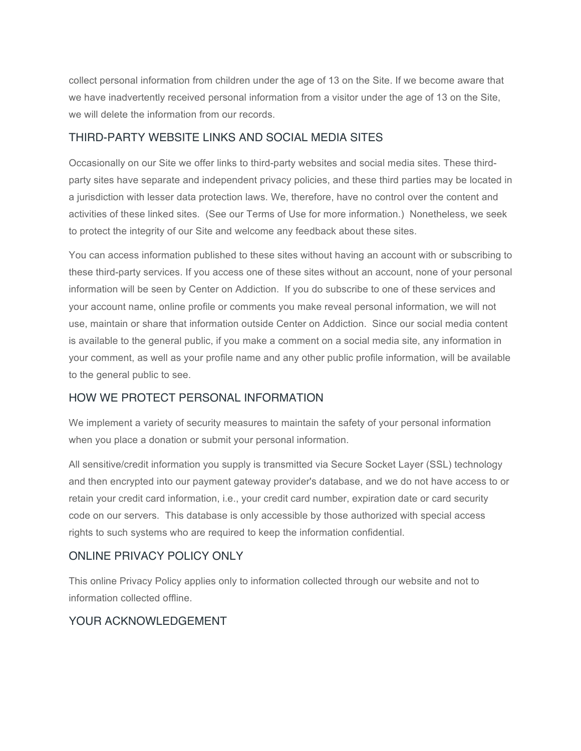collect personal information from children under the age of 13 on the Site. If we become aware that we have inadvertently received personal information from a visitor under the age of 13 on the Site, we will delete the information from our records.

## THIRD-PARTY WEBSITE LINKS AND SOCIAL MEDIA SITES

Occasionally on our Site we offer links to third-party websites and social media sites. These thirdparty sites have separate and independent privacy policies, and these third parties may be located in a jurisdiction with lesser data protection laws. We, therefore, have no control over the content and activities of these linked sites. (See our Terms of Use for more information.) Nonetheless, we seek to protect the integrity of our Site and welcome any feedback about these sites.

You can access information published to these sites without having an account with or subscribing to these third-party services. If you access one of these sites without an account, none of your personal information will be seen by Center on Addiction. If you do subscribe to one of these services and your account name, online profile or comments you make reveal personal information, we will not use, maintain or share that information outside Center on Addiction. Since our social media content is available to the general public, if you make a comment on a social media site, any information in your comment, as well as your profile name and any other public profile information, will be available to the general public to see.

## HOW WE PROTECT PERSONAL INFORMATION

We implement a variety of security measures to maintain the safety of your personal information when you place a donation or submit your personal information.

All sensitive/credit information you supply is transmitted via Secure Socket Layer (SSL) technology and then encrypted into our payment gateway provider's database, and we do not have access to or retain your credit card information, i.e., your credit card number, expiration date or card security code on our servers. This database is only accessible by those authorized with special access rights to such systems who are required to keep the information confidential.

# ONLINE PRIVACY POLICY ONLY

This online Privacy Policy applies only to information collected through our website and not to information collected offline.

## YOUR ACKNOWLEDGEMENT